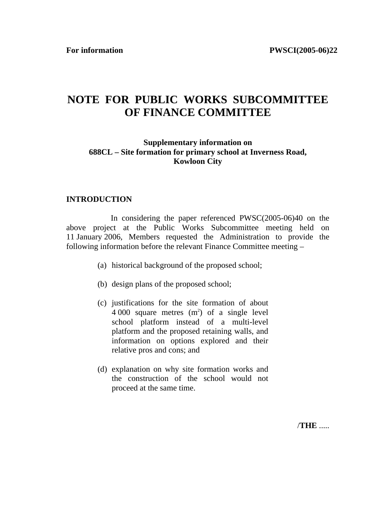# **NOTE FOR PUBLIC WORKS SUBCOMMITTEE OF FINANCE COMMITTEE**

#### **Supplementary information on 688CL – Site formation for primary school at Inverness Road, Kowloon City**

#### **INTRODUCTION**

 In considering the paper referenced PWSC(2005-06)40 on the above project at the Public Works Subcommittee meeting held on 11 January 2006, Members requested the Administration to provide the following information before the relevant Finance Committee meeting –

- (a) historical background of the proposed school;
- (b) design plans of the proposed school;
- (c) justifications for the site formation of about  $4000$  square metres  $(m<sup>2</sup>)$  of a single level school platform instead of a multi-level platform and the proposed retaining walls, and information on options explored and their relative pros and cons; and
- (d) explanation on why site formation works and the construction of the school would not proceed at the same time.

/**THE** .....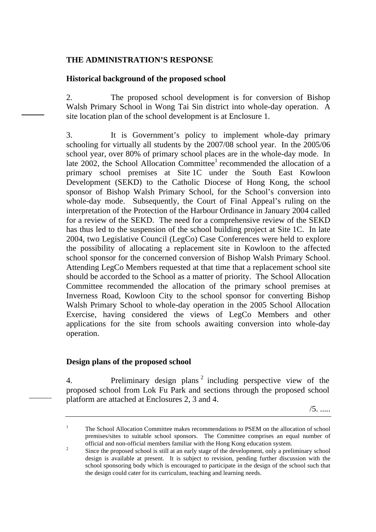### **THE ADMINISTRATION'S RESPONSE**

#### **Historical background of the proposed school**

2. The proposed school development is for conversion of Bishop Walsh Primary School in Wong Tai Sin district into whole-day operation. A site location plan of the school development is at Enclosure 1.

3. It is Government's policy to implement whole-day primary schooling for virtually all students by the 2007/08 school year. In the 2005/06 school year, over 80% of primary school places are in the whole-day mode. In late  $2002$ , the School Allocation Committee<sup>1</sup> recommended the allocation of a primary school premises at Site 1C under the South East Kowloon Development (SEKD) to the Catholic Diocese of Hong Kong, the school sponsor of Bishop Walsh Primary School, for the School's conversion into whole-day mode. Subsequently, the Court of Final Appeal's ruling on the interpretation of the Protection of the Harbour Ordinance in January 2004 called for a review of the SEKD. The need for a comprehensive review of the SEKD has thus led to the suspension of the school building project at Site 1C. In late 2004, two Legislative Council (LegCo) Case Conferences were held to explore the possibility of allocating a replacement site in Kowloon to the affected school sponsor for the concerned conversion of Bishop Walsh Primary School. Attending LegCo Members requested at that time that a replacement school site should be accorded to the School as a matter of priority. The School Allocation Committee recommended the allocation of the primary school premises at Inverness Road, Kowloon City to the school sponsor for converting Bishop Walsh Primary School to whole-day operation in the 2005 School Allocation Exercise, having considered the views of LegCo Members and other applications for the site from schools awaiting conversion into whole-day operation.

#### **Design plans of the proposed school**

4. Preliminary design plans<sup>2</sup> including perspective view of the proposed school from Lok Fu Park and sections through the proposed school platform are attached at Enclosures 2, 3 and 4.

/5. .....

<sup>1</sup> The School Allocation Committee makes recommendations to PSEM on the allocation of school premises/sites to suitable school sponsors. The Committee comprises an equal number of official and non-official members familiar with the Hong Kong education system.

<sup>&</sup>lt;sup>2</sup> Since the proposed school is still at an early stage of the development, only a preliminary school design is available at present. It is subject to revision, pending further discussion with the school sponsoring body which is encouraged to participate in the design of the school such that the design could cater for its curriculum, teaching and learning needs.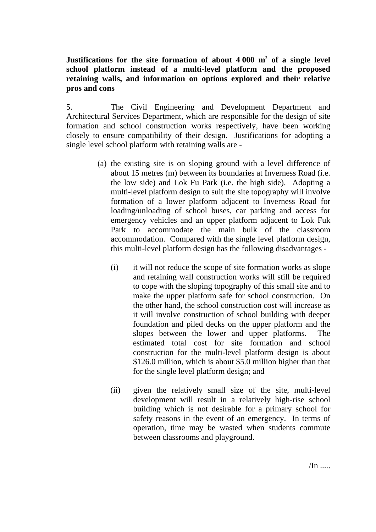Justifications for the site formation of about 4 000 m<sup>2</sup> of a single level **school platform instead of a multi-level platform and the proposed retaining walls, and information on options explored and their relative pros and cons** 

5. The Civil Engineering and Development Department and Architectural Services Department, which are responsible for the design of site formation and school construction works respectively, have been working closely to ensure compatibility of their design. Justifications for adopting a single level school platform with retaining walls are -

- (a) the existing site is on sloping ground with a level difference of about 15 metres (m) between its boundaries at Inverness Road (i.e. the low side) and Lok Fu Park (i.e. the high side). Adopting a multi-level platform design to suit the site topography will involve formation of a lower platform adjacent to Inverness Road for loading/unloading of school buses, car parking and access for emergency vehicles and an upper platform adjacent to Lok Fuk Park to accommodate the main bulk of the classroom accommodation. Compared with the single level platform design, this multi-level platform design has the following disadvantages -
	- (i) it will not reduce the scope of site formation works as slope and retaining wall construction works will still be required to cope with the sloping topography of this small site and to make the upper platform safe for school construction. On the other hand, the school construction cost will increase as it will involve construction of school building with deeper foundation and piled decks on the upper platform and the slopes between the lower and upper platforms. The estimated total cost for site formation and school construction for the multi-level platform design is about \$126.0 million, which is about \$5.0 million higher than that for the single level platform design; and
	- (ii) given the relatively small size of the site, multi-level development will result in a relatively high-rise school building which is not desirable for a primary school for safety reasons in the event of an emergency. In terms of operation, time may be wasted when students commute between classrooms and playground.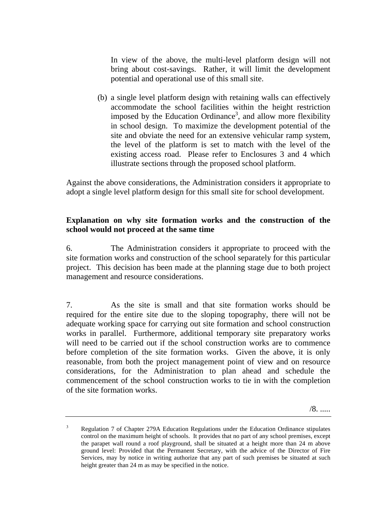In view of the above, the multi-level platform design will not bring about cost-savings. Rather, it will limit the development potential and operational use of this small site.

(b) a single level platform design with retaining walls can effectively accommodate the school facilities within the height restriction imposed by the Education Ordinance<sup>3</sup>, and allow more flexibility in school design. To maximize the development potential of the site and obviate the need for an extensive vehicular ramp system, the level of the platform is set to match with the level of the existing access road. Please refer to Enclosures 3 and 4 which illustrate sections through the proposed school platform.

Against the above considerations, the Administration considers it appropriate to adopt a single level platform design for this small site for school development.

## **Explanation on why site formation works and the construction of the school would not proceed at the same time**

6. The Administration considers it appropriate to proceed with the site formation works and construction of the school separately for this particular project. This decision has been made at the planning stage due to both project management and resource considerations.

7. As the site is small and that site formation works should be required for the entire site due to the sloping topography, there will not be adequate working space for carrying out site formation and school construction works in parallel. Furthermore, additional temporary site preparatory works will need to be carried out if the school construction works are to commence before completion of the site formation works. Given the above, it is only reasonable, from both the project management point of view and on resource considerations, for the Administration to plan ahead and schedule the commencement of the school construction works to tie in with the completion of the site formation works.

<sup>3</sup> Regulation 7 of Chapter 279A Education Regulations under the Education Ordinance stipulates control on the maximum height of schools. It provides that no part of any school premises, except the parapet wall round a roof playground, shall be situated at a height more than 24 m above ground level: Provided that the Permanent Secretary, with the advice of the Director of Fire Services, may by notice in writing authorize that any part of such premises be situated at such height greater than 24 m as may be specified in the notice.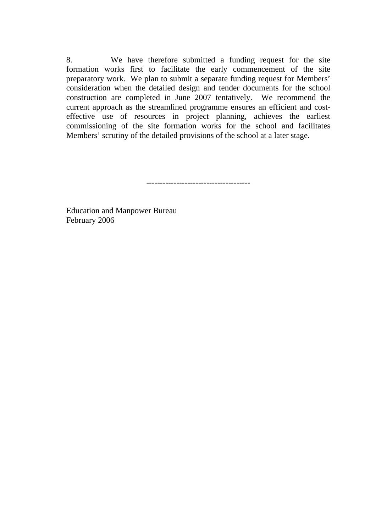8. We have therefore submitted a funding request for the site formation works first to facilitate the early commencement of the site preparatory work. We plan to submit a separate funding request for Members' consideration when the detailed design and tender documents for the school construction are completed in June 2007 tentatively. We recommend the current approach as the streamlined programme ensures an efficient and costeffective use of resources in project planning, achieves the earliest commissioning of the site formation works for the school and facilitates Members' scrutiny of the detailed provisions of the school at a later stage.

--------------------------------------

Education and Manpower Bureau February 2006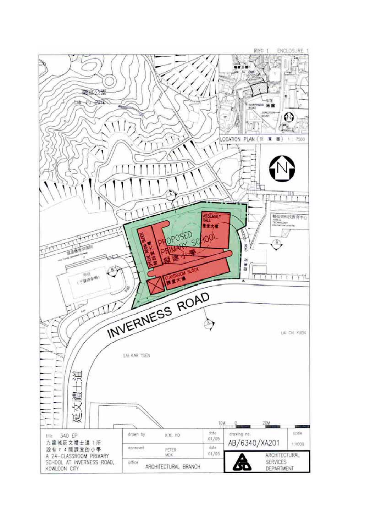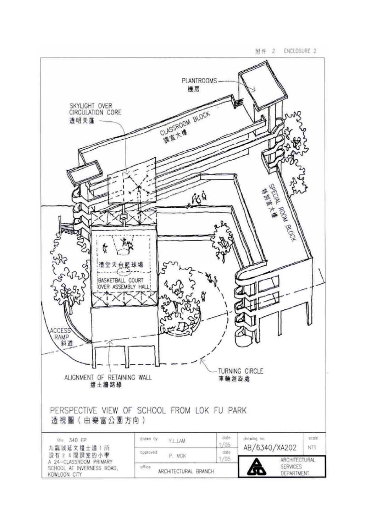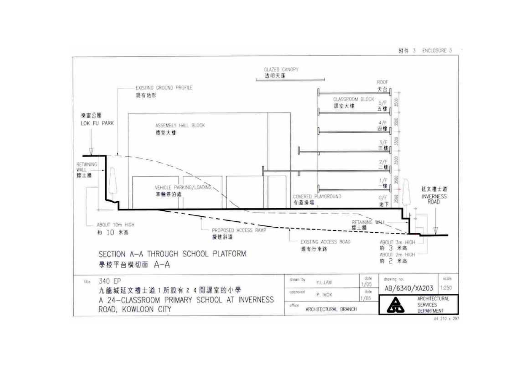

附件 3 ENCLOSURE 3

A4 210 x 297